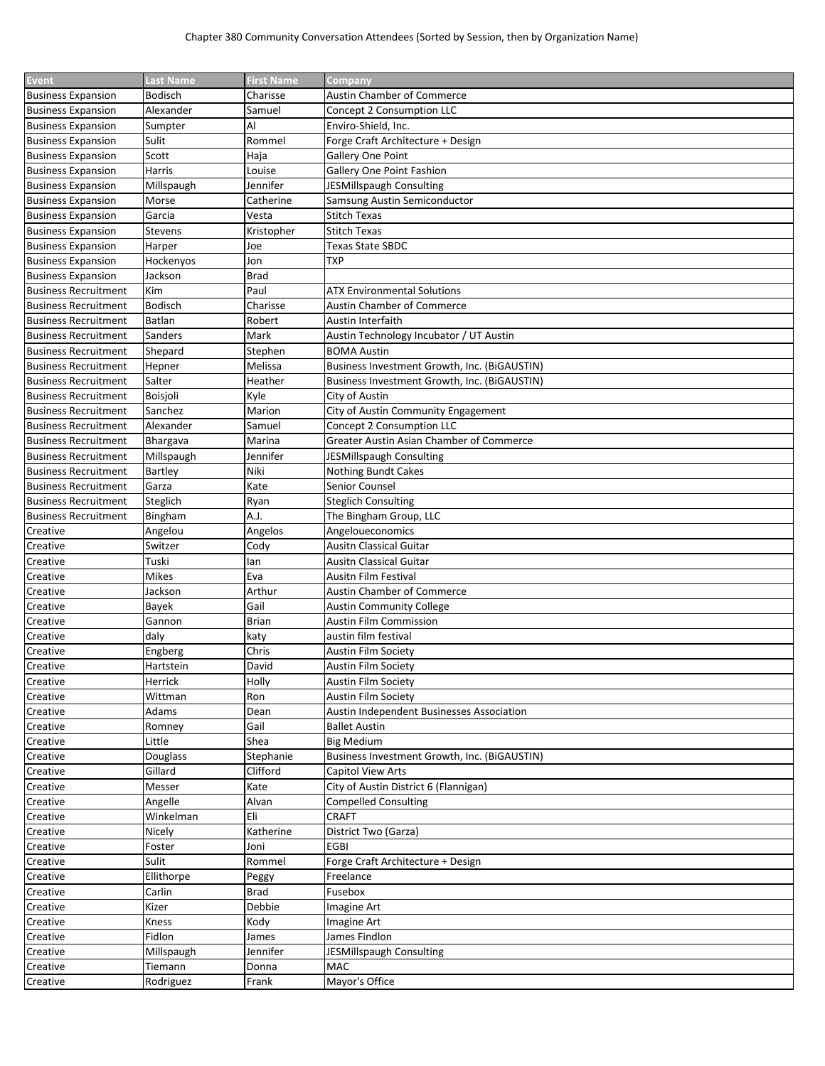| Event                       | <b>Last Name</b> | <b>First Name</b> | <b>Company</b>                               |
|-----------------------------|------------------|-------------------|----------------------------------------------|
| <b>Business Expansion</b>   | Bodisch          | Charisse          | <b>Austin Chamber of Commerce</b>            |
| <b>Business Expansion</b>   | Alexander        | Samuel            | Concept 2 Consumption LLC                    |
| <b>Business Expansion</b>   | Sumpter          | Al                | Enviro-Shield, Inc.                          |
| <b>Business Expansion</b>   | Sulit            | Rommel            | Forge Craft Architecture + Design            |
| <b>Business Expansion</b>   | Scott            | Haja              | Gallery One Point                            |
| <b>Business Expansion</b>   | Harris           | Louise            | <b>Gallery One Point Fashion</b>             |
| <b>Business Expansion</b>   | Millspaugh       | Jennifer          | JESMillspaugh Consulting                     |
| <b>Business Expansion</b>   | Morse            | Catherine         | Samsung Austin Semiconductor                 |
| <b>Business Expansion</b>   | Garcia           | Vesta             | <b>Stitch Texas</b>                          |
| <b>Business Expansion</b>   | Stevens          | Kristopher        | <b>Stitch Texas</b>                          |
| <b>Business Expansion</b>   | Harper           | Joe               | Texas State SBDC                             |
| <b>Business Expansion</b>   | Hockenyos        | Jon               | TXP                                          |
| <b>Business Expansion</b>   | Jackson          | <b>Brad</b>       |                                              |
| <b>Business Recruitment</b> | Kim              | Paul              | <b>ATX Environmental Solutions</b>           |
| <b>Business Recruitment</b> | <b>Bodisch</b>   | Charisse          | <b>Austin Chamber of Commerce</b>            |
| <b>Business Recruitment</b> | Batlan           | Robert            | Austin Interfaith                            |
| <b>Business Recruitment</b> | Sanders          | Mark              | Austin Technology Incubator / UT Austin      |
| <b>Business Recruitment</b> | Shepard          | Stephen           | <b>BOMA Austin</b>                           |
| <b>Business Recruitment</b> | Hepner           | Melissa           | Business Investment Growth, Inc. (BiGAUSTIN) |
| <b>Business Recruitment</b> | Salter           | Heather           | Business Investment Growth, Inc. (BiGAUSTIN) |
| <b>Business Recruitment</b> | Boisjoli         | Kyle              | City of Austin                               |
| <b>Business Recruitment</b> | Sanchez          | Marion            | City of Austin Community Engagement          |
| <b>Business Recruitment</b> | Alexander        | Samuel            | Concept 2 Consumption LLC                    |
| <b>Business Recruitment</b> |                  | Marina            | Greater Austin Asian Chamber of Commerce     |
|                             | Bhargava         | Jennifer          | JESMillspaugh Consulting                     |
| <b>Business Recruitment</b> | Millspaugh       | Niki              |                                              |
| <b>Business Recruitment</b> | Bartley          | Kate              | Nothing Bundt Cakes<br><b>Senior Counsel</b> |
| <b>Business Recruitment</b> | Garza            |                   |                                              |
| <b>Business Recruitment</b> | Steglich         | Ryan              | <b>Steglich Consulting</b>                   |
| <b>Business Recruitment</b> | Bingham          | A.J.              | The Bingham Group, LLC                       |
| Creative                    | Angelou          | Angelos           | Angeloueconomics                             |
| Creative                    | Switzer          | Cody              | Ausitn Classical Guitar                      |
| Creative                    | Tuski            | lan               | Ausitn Classical Guitar                      |
| Creative                    | Mikes            | Eva               | <b>Ausitn Film Festival</b>                  |
| Creative                    | Jackson          | Arthur            | Austin Chamber of Commerce                   |
| Creative                    | Bayek            | Gail              | <b>Austin Community College</b>              |
| Creative                    | Gannon           | <b>Brian</b>      | Austin Film Commission                       |
| Creative                    | daly             | katy              | austin film festival                         |
| Creative                    | Engberg          | Chris             | Austin Film Society                          |
| Creative                    | Hartstein        | David             | <b>Austin Film Society</b>                   |
| Creative                    | Herrick          | Holly             | <b>Austin Film Society</b>                   |
| Creative                    | Wittman          | Ron               | <b>Austin Film Society</b>                   |
| Creative                    | Adams            | Dean              | Austin Independent Businesses Association    |
| Creative                    | Romney           | Gail              | <b>Ballet Austin</b>                         |
| Creative                    | Little           | Shea              | <b>Big Medium</b>                            |
| Creative                    | Douglass         | Stephanie         | Business Investment Growth, Inc. (BiGAUSTIN) |
| Creative                    | Gillard          | Clifford          | <b>Capitol View Arts</b>                     |
| Creative                    | Messer           | Kate              | City of Austin District 6 (Flannigan)        |
| Creative                    | Angelle          | Alvan             | <b>Compelled Consulting</b>                  |
| Creative                    | Winkelman        | Eli               | <b>CRAFT</b>                                 |
| Creative                    | Nicely           | Katherine         | District Two (Garza)                         |
| Creative                    | Foster           | Joni              | <b>EGBI</b>                                  |
| Creative                    | Sulit            | Rommel            | Forge Craft Architecture + Design            |
| Creative                    | Ellithorpe       | Peggy             | Freelance                                    |
| Creative                    | Carlin           | <b>Brad</b>       | Fusebox                                      |
| Creative                    | Kizer            | Debbie            | Imagine Art                                  |
| Creative                    | Kness            | Kody              | Imagine Art                                  |
| Creative                    | Fidlon           | James             | James Findlon                                |
| Creative                    | Millspaugh       | Jennifer          | JESMillspaugh Consulting                     |
| Creative                    | Tiemann          | Donna             | <b>MAC</b>                                   |
| Creative                    | Rodriguez        | Frank             | Mayor's Office                               |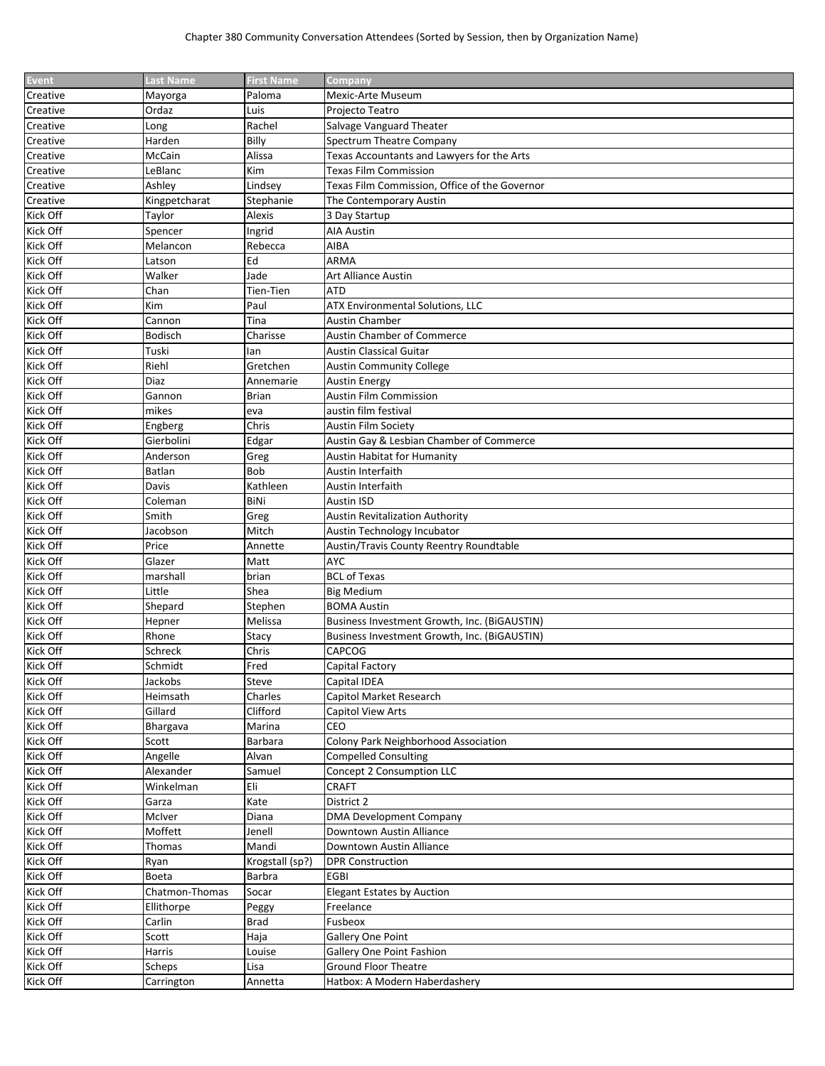| Paloma<br>Mexic-Arte Museum<br>Mayorga<br>Ordaz<br>Luis<br>Proiecto Teatro<br>Rachel<br>Salvage Vanguard Theater<br>Long<br>Billy<br>Spectrum Theatre Company<br>Harden<br>Texas Accountants and Lawyers for the Arts<br>McCain<br>Alissa<br><b>Texas Film Commission</b><br>Kim<br>LeBlanc<br>Texas Film Commission, Office of the Governor<br>Ashley<br>Lindsey<br>Kingpetcharat<br>Stephanie<br>The Contemporary Austin<br>Creative<br>Kick Off<br>Taylor<br>Alexis<br>3 Day Startup<br>Kick Off<br><b>AIA Austin</b><br>Spencer<br>Ingrid<br>Kick Off<br>Rebecca<br>AIBA<br>Melancon<br>Kick Off<br>Ed<br>ARMA<br>Latson<br>Kick Off<br>Jade<br>Walker<br>Art Alliance Austin<br>Kick Off<br><b>ATD</b><br>Chan<br>Tien-Tien<br>Kick Off<br>Kim<br>Paul<br>ATX Environmental Solutions, LLC<br>Kick Off<br>Cannon<br>Tina<br><b>Austin Chamber</b><br>Kick Off<br>Austin Chamber of Commerce<br><b>Bodisch</b><br>Charisse<br>Kick Off<br>Tuski<br><b>Austin Classical Guitar</b><br>lan<br>Kick Off<br>Riehl<br>Gretchen<br><b>Austin Community College</b><br>Kick Off<br>Diaz<br>Annemarie<br><b>Austin Energy</b><br>Austin Film Commission<br>Kick Off<br>Gannon<br>Brian<br>Kick Off<br>austin film festival<br>mikes<br>eva<br>Kick Off<br>Chris<br>Engberg<br><b>Austin Film Society</b><br>Kick Off<br>Gierbolini<br>Edgar<br>Austin Gay & Lesbian Chamber of Commerce<br>Kick Off<br>Anderson<br>Greg<br><b>Austin Habitat for Humanity</b><br>Kick Off<br><b>Bob</b><br>Batlan<br>Austin Interfaith<br>Kick Off<br>Kathleen<br>Austin Interfaith<br>Davis<br>Kick Off<br>Coleman<br>BiNi<br>Austin ISD<br>Kick Off<br>Smith<br><b>Austin Revitalization Authority</b><br>Greg<br>Kick Off<br>Jacobson<br>Mitch<br>Austin Technology Incubator<br>Kick Off<br>Price<br>Austin/Travis County Reentry Roundtable<br>Annette<br>Kick Off<br><b>AYC</b><br>Glazer<br>Matt<br>Kick Off<br><b>BCL of Texas</b><br>marshall<br>brian<br>Kick Off<br>Little<br>Shea<br><b>Big Medium</b><br>Kick Off<br><b>BOMA Austin</b><br>Shepard<br>Stephen<br>Kick Off<br>Melissa<br>Business Investment Growth, Inc. (BiGAUSTIN)<br>Hepner<br>Kick Off<br>Rhone<br>Stacy<br>Business Investment Growth, Inc. (BiGAUSTIN)<br>Kick Off<br>Chris<br>CAPCOG<br>Schreck<br>Kick Off<br>Schmidt<br>Fred<br>Capital Factory<br>Jackobs<br>Steve<br>Capital IDEA<br>Charles<br>Heimsath<br>Capitol Market Research<br>Kick Off<br>Gillard<br>Clifford<br>Capitol View Arts<br>CEO<br>Marina<br>Bhargava<br>Colony Park Neighborhood Association<br>Barbara<br>Scott<br><b>Compelled Consulting</b><br>Angelle<br>Alvan<br>Concept 2 Consumption LLC<br>Samuel<br>Alexander<br>Eli<br><b>CRAFT</b><br>Winkelman<br>Kate<br>District 2<br>Garza<br>McIver<br><b>DMA Development Company</b><br>Diana<br>Moffett<br>Jenell<br>Downtown Austin Alliance<br>Mandi<br>Downtown Austin Alliance<br>Thomas<br>Ryan<br>Krogstall (sp?)<br><b>DPR Construction</b><br><b>EGBI</b><br>Boeta<br>Barbra<br>Chatmon-Thomas<br>Socar<br><b>Elegant Estates by Auction</b><br>Ellithorpe<br>Peggy<br>Freelance<br>Carlin<br>Brad<br>Fusbeox<br>Scott<br>Haja<br>Gallery One Point<br>Kick Off<br>Harris<br>Louise<br>Gallery One Point Fashion<br>Kick Off<br>Lisa<br><b>Ground Floor Theatre</b><br>Scheps<br>Hatbox: A Modern Haberdashery | <b>Event</b> | <b>Last Name</b> | <b>First Name</b> | Company |
|-------------------------------------------------------------------------------------------------------------------------------------------------------------------------------------------------------------------------------------------------------------------------------------------------------------------------------------------------------------------------------------------------------------------------------------------------------------------------------------------------------------------------------------------------------------------------------------------------------------------------------------------------------------------------------------------------------------------------------------------------------------------------------------------------------------------------------------------------------------------------------------------------------------------------------------------------------------------------------------------------------------------------------------------------------------------------------------------------------------------------------------------------------------------------------------------------------------------------------------------------------------------------------------------------------------------------------------------------------------------------------------------------------------------------------------------------------------------------------------------------------------------------------------------------------------------------------------------------------------------------------------------------------------------------------------------------------------------------------------------------------------------------------------------------------------------------------------------------------------------------------------------------------------------------------------------------------------------------------------------------------------------------------------------------------------------------------------------------------------------------------------------------------------------------------------------------------------------------------------------------------------------------------------------------------------------------------------------------------------------------------------------------------------------------------------------------------------------------------------------------------------------------------------------------------------------------------------------------------------------------------------------------------------------------------------------------------------------------------------------------------------------------------------------------------------------------------------------------------------------------------------------------------------------------------------------------------------------------------------------------------------------------------------------------------------------------------------------------------------------------------------------------------------------------------------------------------------------------------------------------------------------------------------------------------------------|--------------|------------------|-------------------|---------|
|                                                                                                                                                                                                                                                                                                                                                                                                                                                                                                                                                                                                                                                                                                                                                                                                                                                                                                                                                                                                                                                                                                                                                                                                                                                                                                                                                                                                                                                                                                                                                                                                                                                                                                                                                                                                                                                                                                                                                                                                                                                                                                                                                                                                                                                                                                                                                                                                                                                                                                                                                                                                                                                                                                                                                                                                                                                                                                                                                                                                                                                                                                                                                                                                                                                                                                                   | Creative     |                  |                   |         |
|                                                                                                                                                                                                                                                                                                                                                                                                                                                                                                                                                                                                                                                                                                                                                                                                                                                                                                                                                                                                                                                                                                                                                                                                                                                                                                                                                                                                                                                                                                                                                                                                                                                                                                                                                                                                                                                                                                                                                                                                                                                                                                                                                                                                                                                                                                                                                                                                                                                                                                                                                                                                                                                                                                                                                                                                                                                                                                                                                                                                                                                                                                                                                                                                                                                                                                                   | Creative     |                  |                   |         |
|                                                                                                                                                                                                                                                                                                                                                                                                                                                                                                                                                                                                                                                                                                                                                                                                                                                                                                                                                                                                                                                                                                                                                                                                                                                                                                                                                                                                                                                                                                                                                                                                                                                                                                                                                                                                                                                                                                                                                                                                                                                                                                                                                                                                                                                                                                                                                                                                                                                                                                                                                                                                                                                                                                                                                                                                                                                                                                                                                                                                                                                                                                                                                                                                                                                                                                                   | Creative     |                  |                   |         |
|                                                                                                                                                                                                                                                                                                                                                                                                                                                                                                                                                                                                                                                                                                                                                                                                                                                                                                                                                                                                                                                                                                                                                                                                                                                                                                                                                                                                                                                                                                                                                                                                                                                                                                                                                                                                                                                                                                                                                                                                                                                                                                                                                                                                                                                                                                                                                                                                                                                                                                                                                                                                                                                                                                                                                                                                                                                                                                                                                                                                                                                                                                                                                                                                                                                                                                                   | Creative     |                  |                   |         |
|                                                                                                                                                                                                                                                                                                                                                                                                                                                                                                                                                                                                                                                                                                                                                                                                                                                                                                                                                                                                                                                                                                                                                                                                                                                                                                                                                                                                                                                                                                                                                                                                                                                                                                                                                                                                                                                                                                                                                                                                                                                                                                                                                                                                                                                                                                                                                                                                                                                                                                                                                                                                                                                                                                                                                                                                                                                                                                                                                                                                                                                                                                                                                                                                                                                                                                                   | Creative     |                  |                   |         |
|                                                                                                                                                                                                                                                                                                                                                                                                                                                                                                                                                                                                                                                                                                                                                                                                                                                                                                                                                                                                                                                                                                                                                                                                                                                                                                                                                                                                                                                                                                                                                                                                                                                                                                                                                                                                                                                                                                                                                                                                                                                                                                                                                                                                                                                                                                                                                                                                                                                                                                                                                                                                                                                                                                                                                                                                                                                                                                                                                                                                                                                                                                                                                                                                                                                                                                                   | Creative     |                  |                   |         |
|                                                                                                                                                                                                                                                                                                                                                                                                                                                                                                                                                                                                                                                                                                                                                                                                                                                                                                                                                                                                                                                                                                                                                                                                                                                                                                                                                                                                                                                                                                                                                                                                                                                                                                                                                                                                                                                                                                                                                                                                                                                                                                                                                                                                                                                                                                                                                                                                                                                                                                                                                                                                                                                                                                                                                                                                                                                                                                                                                                                                                                                                                                                                                                                                                                                                                                                   | Creative     |                  |                   |         |
|                                                                                                                                                                                                                                                                                                                                                                                                                                                                                                                                                                                                                                                                                                                                                                                                                                                                                                                                                                                                                                                                                                                                                                                                                                                                                                                                                                                                                                                                                                                                                                                                                                                                                                                                                                                                                                                                                                                                                                                                                                                                                                                                                                                                                                                                                                                                                                                                                                                                                                                                                                                                                                                                                                                                                                                                                                                                                                                                                                                                                                                                                                                                                                                                                                                                                                                   |              |                  |                   |         |
|                                                                                                                                                                                                                                                                                                                                                                                                                                                                                                                                                                                                                                                                                                                                                                                                                                                                                                                                                                                                                                                                                                                                                                                                                                                                                                                                                                                                                                                                                                                                                                                                                                                                                                                                                                                                                                                                                                                                                                                                                                                                                                                                                                                                                                                                                                                                                                                                                                                                                                                                                                                                                                                                                                                                                                                                                                                                                                                                                                                                                                                                                                                                                                                                                                                                                                                   |              |                  |                   |         |
|                                                                                                                                                                                                                                                                                                                                                                                                                                                                                                                                                                                                                                                                                                                                                                                                                                                                                                                                                                                                                                                                                                                                                                                                                                                                                                                                                                                                                                                                                                                                                                                                                                                                                                                                                                                                                                                                                                                                                                                                                                                                                                                                                                                                                                                                                                                                                                                                                                                                                                                                                                                                                                                                                                                                                                                                                                                                                                                                                                                                                                                                                                                                                                                                                                                                                                                   |              |                  |                   |         |
|                                                                                                                                                                                                                                                                                                                                                                                                                                                                                                                                                                                                                                                                                                                                                                                                                                                                                                                                                                                                                                                                                                                                                                                                                                                                                                                                                                                                                                                                                                                                                                                                                                                                                                                                                                                                                                                                                                                                                                                                                                                                                                                                                                                                                                                                                                                                                                                                                                                                                                                                                                                                                                                                                                                                                                                                                                                                                                                                                                                                                                                                                                                                                                                                                                                                                                                   |              |                  |                   |         |
|                                                                                                                                                                                                                                                                                                                                                                                                                                                                                                                                                                                                                                                                                                                                                                                                                                                                                                                                                                                                                                                                                                                                                                                                                                                                                                                                                                                                                                                                                                                                                                                                                                                                                                                                                                                                                                                                                                                                                                                                                                                                                                                                                                                                                                                                                                                                                                                                                                                                                                                                                                                                                                                                                                                                                                                                                                                                                                                                                                                                                                                                                                                                                                                                                                                                                                                   |              |                  |                   |         |
|                                                                                                                                                                                                                                                                                                                                                                                                                                                                                                                                                                                                                                                                                                                                                                                                                                                                                                                                                                                                                                                                                                                                                                                                                                                                                                                                                                                                                                                                                                                                                                                                                                                                                                                                                                                                                                                                                                                                                                                                                                                                                                                                                                                                                                                                                                                                                                                                                                                                                                                                                                                                                                                                                                                                                                                                                                                                                                                                                                                                                                                                                                                                                                                                                                                                                                                   |              |                  |                   |         |
|                                                                                                                                                                                                                                                                                                                                                                                                                                                                                                                                                                                                                                                                                                                                                                                                                                                                                                                                                                                                                                                                                                                                                                                                                                                                                                                                                                                                                                                                                                                                                                                                                                                                                                                                                                                                                                                                                                                                                                                                                                                                                                                                                                                                                                                                                                                                                                                                                                                                                                                                                                                                                                                                                                                                                                                                                                                                                                                                                                                                                                                                                                                                                                                                                                                                                                                   |              |                  |                   |         |
|                                                                                                                                                                                                                                                                                                                                                                                                                                                                                                                                                                                                                                                                                                                                                                                                                                                                                                                                                                                                                                                                                                                                                                                                                                                                                                                                                                                                                                                                                                                                                                                                                                                                                                                                                                                                                                                                                                                                                                                                                                                                                                                                                                                                                                                                                                                                                                                                                                                                                                                                                                                                                                                                                                                                                                                                                                                                                                                                                                                                                                                                                                                                                                                                                                                                                                                   |              |                  |                   |         |
|                                                                                                                                                                                                                                                                                                                                                                                                                                                                                                                                                                                                                                                                                                                                                                                                                                                                                                                                                                                                                                                                                                                                                                                                                                                                                                                                                                                                                                                                                                                                                                                                                                                                                                                                                                                                                                                                                                                                                                                                                                                                                                                                                                                                                                                                                                                                                                                                                                                                                                                                                                                                                                                                                                                                                                                                                                                                                                                                                                                                                                                                                                                                                                                                                                                                                                                   |              |                  |                   |         |
|                                                                                                                                                                                                                                                                                                                                                                                                                                                                                                                                                                                                                                                                                                                                                                                                                                                                                                                                                                                                                                                                                                                                                                                                                                                                                                                                                                                                                                                                                                                                                                                                                                                                                                                                                                                                                                                                                                                                                                                                                                                                                                                                                                                                                                                                                                                                                                                                                                                                                                                                                                                                                                                                                                                                                                                                                                                                                                                                                                                                                                                                                                                                                                                                                                                                                                                   |              |                  |                   |         |
|                                                                                                                                                                                                                                                                                                                                                                                                                                                                                                                                                                                                                                                                                                                                                                                                                                                                                                                                                                                                                                                                                                                                                                                                                                                                                                                                                                                                                                                                                                                                                                                                                                                                                                                                                                                                                                                                                                                                                                                                                                                                                                                                                                                                                                                                                                                                                                                                                                                                                                                                                                                                                                                                                                                                                                                                                                                                                                                                                                                                                                                                                                                                                                                                                                                                                                                   |              |                  |                   |         |
|                                                                                                                                                                                                                                                                                                                                                                                                                                                                                                                                                                                                                                                                                                                                                                                                                                                                                                                                                                                                                                                                                                                                                                                                                                                                                                                                                                                                                                                                                                                                                                                                                                                                                                                                                                                                                                                                                                                                                                                                                                                                                                                                                                                                                                                                                                                                                                                                                                                                                                                                                                                                                                                                                                                                                                                                                                                                                                                                                                                                                                                                                                                                                                                                                                                                                                                   |              |                  |                   |         |
|                                                                                                                                                                                                                                                                                                                                                                                                                                                                                                                                                                                                                                                                                                                                                                                                                                                                                                                                                                                                                                                                                                                                                                                                                                                                                                                                                                                                                                                                                                                                                                                                                                                                                                                                                                                                                                                                                                                                                                                                                                                                                                                                                                                                                                                                                                                                                                                                                                                                                                                                                                                                                                                                                                                                                                                                                                                                                                                                                                                                                                                                                                                                                                                                                                                                                                                   |              |                  |                   |         |
|                                                                                                                                                                                                                                                                                                                                                                                                                                                                                                                                                                                                                                                                                                                                                                                                                                                                                                                                                                                                                                                                                                                                                                                                                                                                                                                                                                                                                                                                                                                                                                                                                                                                                                                                                                                                                                                                                                                                                                                                                                                                                                                                                                                                                                                                                                                                                                                                                                                                                                                                                                                                                                                                                                                                                                                                                                                                                                                                                                                                                                                                                                                                                                                                                                                                                                                   |              |                  |                   |         |
|                                                                                                                                                                                                                                                                                                                                                                                                                                                                                                                                                                                                                                                                                                                                                                                                                                                                                                                                                                                                                                                                                                                                                                                                                                                                                                                                                                                                                                                                                                                                                                                                                                                                                                                                                                                                                                                                                                                                                                                                                                                                                                                                                                                                                                                                                                                                                                                                                                                                                                                                                                                                                                                                                                                                                                                                                                                                                                                                                                                                                                                                                                                                                                                                                                                                                                                   |              |                  |                   |         |
|                                                                                                                                                                                                                                                                                                                                                                                                                                                                                                                                                                                                                                                                                                                                                                                                                                                                                                                                                                                                                                                                                                                                                                                                                                                                                                                                                                                                                                                                                                                                                                                                                                                                                                                                                                                                                                                                                                                                                                                                                                                                                                                                                                                                                                                                                                                                                                                                                                                                                                                                                                                                                                                                                                                                                                                                                                                                                                                                                                                                                                                                                                                                                                                                                                                                                                                   |              |                  |                   |         |
|                                                                                                                                                                                                                                                                                                                                                                                                                                                                                                                                                                                                                                                                                                                                                                                                                                                                                                                                                                                                                                                                                                                                                                                                                                                                                                                                                                                                                                                                                                                                                                                                                                                                                                                                                                                                                                                                                                                                                                                                                                                                                                                                                                                                                                                                                                                                                                                                                                                                                                                                                                                                                                                                                                                                                                                                                                                                                                                                                                                                                                                                                                                                                                                                                                                                                                                   |              |                  |                   |         |
|                                                                                                                                                                                                                                                                                                                                                                                                                                                                                                                                                                                                                                                                                                                                                                                                                                                                                                                                                                                                                                                                                                                                                                                                                                                                                                                                                                                                                                                                                                                                                                                                                                                                                                                                                                                                                                                                                                                                                                                                                                                                                                                                                                                                                                                                                                                                                                                                                                                                                                                                                                                                                                                                                                                                                                                                                                                                                                                                                                                                                                                                                                                                                                                                                                                                                                                   |              |                  |                   |         |
|                                                                                                                                                                                                                                                                                                                                                                                                                                                                                                                                                                                                                                                                                                                                                                                                                                                                                                                                                                                                                                                                                                                                                                                                                                                                                                                                                                                                                                                                                                                                                                                                                                                                                                                                                                                                                                                                                                                                                                                                                                                                                                                                                                                                                                                                                                                                                                                                                                                                                                                                                                                                                                                                                                                                                                                                                                                                                                                                                                                                                                                                                                                                                                                                                                                                                                                   |              |                  |                   |         |
|                                                                                                                                                                                                                                                                                                                                                                                                                                                                                                                                                                                                                                                                                                                                                                                                                                                                                                                                                                                                                                                                                                                                                                                                                                                                                                                                                                                                                                                                                                                                                                                                                                                                                                                                                                                                                                                                                                                                                                                                                                                                                                                                                                                                                                                                                                                                                                                                                                                                                                                                                                                                                                                                                                                                                                                                                                                                                                                                                                                                                                                                                                                                                                                                                                                                                                                   |              |                  |                   |         |
|                                                                                                                                                                                                                                                                                                                                                                                                                                                                                                                                                                                                                                                                                                                                                                                                                                                                                                                                                                                                                                                                                                                                                                                                                                                                                                                                                                                                                                                                                                                                                                                                                                                                                                                                                                                                                                                                                                                                                                                                                                                                                                                                                                                                                                                                                                                                                                                                                                                                                                                                                                                                                                                                                                                                                                                                                                                                                                                                                                                                                                                                                                                                                                                                                                                                                                                   |              |                  |                   |         |
|                                                                                                                                                                                                                                                                                                                                                                                                                                                                                                                                                                                                                                                                                                                                                                                                                                                                                                                                                                                                                                                                                                                                                                                                                                                                                                                                                                                                                                                                                                                                                                                                                                                                                                                                                                                                                                                                                                                                                                                                                                                                                                                                                                                                                                                                                                                                                                                                                                                                                                                                                                                                                                                                                                                                                                                                                                                                                                                                                                                                                                                                                                                                                                                                                                                                                                                   |              |                  |                   |         |
|                                                                                                                                                                                                                                                                                                                                                                                                                                                                                                                                                                                                                                                                                                                                                                                                                                                                                                                                                                                                                                                                                                                                                                                                                                                                                                                                                                                                                                                                                                                                                                                                                                                                                                                                                                                                                                                                                                                                                                                                                                                                                                                                                                                                                                                                                                                                                                                                                                                                                                                                                                                                                                                                                                                                                                                                                                                                                                                                                                                                                                                                                                                                                                                                                                                                                                                   |              |                  |                   |         |
|                                                                                                                                                                                                                                                                                                                                                                                                                                                                                                                                                                                                                                                                                                                                                                                                                                                                                                                                                                                                                                                                                                                                                                                                                                                                                                                                                                                                                                                                                                                                                                                                                                                                                                                                                                                                                                                                                                                                                                                                                                                                                                                                                                                                                                                                                                                                                                                                                                                                                                                                                                                                                                                                                                                                                                                                                                                                                                                                                                                                                                                                                                                                                                                                                                                                                                                   |              |                  |                   |         |
|                                                                                                                                                                                                                                                                                                                                                                                                                                                                                                                                                                                                                                                                                                                                                                                                                                                                                                                                                                                                                                                                                                                                                                                                                                                                                                                                                                                                                                                                                                                                                                                                                                                                                                                                                                                                                                                                                                                                                                                                                                                                                                                                                                                                                                                                                                                                                                                                                                                                                                                                                                                                                                                                                                                                                                                                                                                                                                                                                                                                                                                                                                                                                                                                                                                                                                                   |              |                  |                   |         |
|                                                                                                                                                                                                                                                                                                                                                                                                                                                                                                                                                                                                                                                                                                                                                                                                                                                                                                                                                                                                                                                                                                                                                                                                                                                                                                                                                                                                                                                                                                                                                                                                                                                                                                                                                                                                                                                                                                                                                                                                                                                                                                                                                                                                                                                                                                                                                                                                                                                                                                                                                                                                                                                                                                                                                                                                                                                                                                                                                                                                                                                                                                                                                                                                                                                                                                                   |              |                  |                   |         |
|                                                                                                                                                                                                                                                                                                                                                                                                                                                                                                                                                                                                                                                                                                                                                                                                                                                                                                                                                                                                                                                                                                                                                                                                                                                                                                                                                                                                                                                                                                                                                                                                                                                                                                                                                                                                                                                                                                                                                                                                                                                                                                                                                                                                                                                                                                                                                                                                                                                                                                                                                                                                                                                                                                                                                                                                                                                                                                                                                                                                                                                                                                                                                                                                                                                                                                                   |              |                  |                   |         |
|                                                                                                                                                                                                                                                                                                                                                                                                                                                                                                                                                                                                                                                                                                                                                                                                                                                                                                                                                                                                                                                                                                                                                                                                                                                                                                                                                                                                                                                                                                                                                                                                                                                                                                                                                                                                                                                                                                                                                                                                                                                                                                                                                                                                                                                                                                                                                                                                                                                                                                                                                                                                                                                                                                                                                                                                                                                                                                                                                                                                                                                                                                                                                                                                                                                                                                                   |              |                  |                   |         |
|                                                                                                                                                                                                                                                                                                                                                                                                                                                                                                                                                                                                                                                                                                                                                                                                                                                                                                                                                                                                                                                                                                                                                                                                                                                                                                                                                                                                                                                                                                                                                                                                                                                                                                                                                                                                                                                                                                                                                                                                                                                                                                                                                                                                                                                                                                                                                                                                                                                                                                                                                                                                                                                                                                                                                                                                                                                                                                                                                                                                                                                                                                                                                                                                                                                                                                                   |              |                  |                   |         |
|                                                                                                                                                                                                                                                                                                                                                                                                                                                                                                                                                                                                                                                                                                                                                                                                                                                                                                                                                                                                                                                                                                                                                                                                                                                                                                                                                                                                                                                                                                                                                                                                                                                                                                                                                                                                                                                                                                                                                                                                                                                                                                                                                                                                                                                                                                                                                                                                                                                                                                                                                                                                                                                                                                                                                                                                                                                                                                                                                                                                                                                                                                                                                                                                                                                                                                                   |              |                  |                   |         |
|                                                                                                                                                                                                                                                                                                                                                                                                                                                                                                                                                                                                                                                                                                                                                                                                                                                                                                                                                                                                                                                                                                                                                                                                                                                                                                                                                                                                                                                                                                                                                                                                                                                                                                                                                                                                                                                                                                                                                                                                                                                                                                                                                                                                                                                                                                                                                                                                                                                                                                                                                                                                                                                                                                                                                                                                                                                                                                                                                                                                                                                                                                                                                                                                                                                                                                                   |              |                  |                   |         |
|                                                                                                                                                                                                                                                                                                                                                                                                                                                                                                                                                                                                                                                                                                                                                                                                                                                                                                                                                                                                                                                                                                                                                                                                                                                                                                                                                                                                                                                                                                                                                                                                                                                                                                                                                                                                                                                                                                                                                                                                                                                                                                                                                                                                                                                                                                                                                                                                                                                                                                                                                                                                                                                                                                                                                                                                                                                                                                                                                                                                                                                                                                                                                                                                                                                                                                                   |              |                  |                   |         |
|                                                                                                                                                                                                                                                                                                                                                                                                                                                                                                                                                                                                                                                                                                                                                                                                                                                                                                                                                                                                                                                                                                                                                                                                                                                                                                                                                                                                                                                                                                                                                                                                                                                                                                                                                                                                                                                                                                                                                                                                                                                                                                                                                                                                                                                                                                                                                                                                                                                                                                                                                                                                                                                                                                                                                                                                                                                                                                                                                                                                                                                                                                                                                                                                                                                                                                                   |              |                  |                   |         |
|                                                                                                                                                                                                                                                                                                                                                                                                                                                                                                                                                                                                                                                                                                                                                                                                                                                                                                                                                                                                                                                                                                                                                                                                                                                                                                                                                                                                                                                                                                                                                                                                                                                                                                                                                                                                                                                                                                                                                                                                                                                                                                                                                                                                                                                                                                                                                                                                                                                                                                                                                                                                                                                                                                                                                                                                                                                                                                                                                                                                                                                                                                                                                                                                                                                                                                                   | Kick Off     |                  |                   |         |
|                                                                                                                                                                                                                                                                                                                                                                                                                                                                                                                                                                                                                                                                                                                                                                                                                                                                                                                                                                                                                                                                                                                                                                                                                                                                                                                                                                                                                                                                                                                                                                                                                                                                                                                                                                                                                                                                                                                                                                                                                                                                                                                                                                                                                                                                                                                                                                                                                                                                                                                                                                                                                                                                                                                                                                                                                                                                                                                                                                                                                                                                                                                                                                                                                                                                                                                   | Kick Off     |                  |                   |         |
|                                                                                                                                                                                                                                                                                                                                                                                                                                                                                                                                                                                                                                                                                                                                                                                                                                                                                                                                                                                                                                                                                                                                                                                                                                                                                                                                                                                                                                                                                                                                                                                                                                                                                                                                                                                                                                                                                                                                                                                                                                                                                                                                                                                                                                                                                                                                                                                                                                                                                                                                                                                                                                                                                                                                                                                                                                                                                                                                                                                                                                                                                                                                                                                                                                                                                                                   |              |                  |                   |         |
|                                                                                                                                                                                                                                                                                                                                                                                                                                                                                                                                                                                                                                                                                                                                                                                                                                                                                                                                                                                                                                                                                                                                                                                                                                                                                                                                                                                                                                                                                                                                                                                                                                                                                                                                                                                                                                                                                                                                                                                                                                                                                                                                                                                                                                                                                                                                                                                                                                                                                                                                                                                                                                                                                                                                                                                                                                                                                                                                                                                                                                                                                                                                                                                                                                                                                                                   | Kick Off     |                  |                   |         |
|                                                                                                                                                                                                                                                                                                                                                                                                                                                                                                                                                                                                                                                                                                                                                                                                                                                                                                                                                                                                                                                                                                                                                                                                                                                                                                                                                                                                                                                                                                                                                                                                                                                                                                                                                                                                                                                                                                                                                                                                                                                                                                                                                                                                                                                                                                                                                                                                                                                                                                                                                                                                                                                                                                                                                                                                                                                                                                                                                                                                                                                                                                                                                                                                                                                                                                                   | Kick Off     |                  |                   |         |
|                                                                                                                                                                                                                                                                                                                                                                                                                                                                                                                                                                                                                                                                                                                                                                                                                                                                                                                                                                                                                                                                                                                                                                                                                                                                                                                                                                                                                                                                                                                                                                                                                                                                                                                                                                                                                                                                                                                                                                                                                                                                                                                                                                                                                                                                                                                                                                                                                                                                                                                                                                                                                                                                                                                                                                                                                                                                                                                                                                                                                                                                                                                                                                                                                                                                                                                   | Kick Off     |                  |                   |         |
|                                                                                                                                                                                                                                                                                                                                                                                                                                                                                                                                                                                                                                                                                                                                                                                                                                                                                                                                                                                                                                                                                                                                                                                                                                                                                                                                                                                                                                                                                                                                                                                                                                                                                                                                                                                                                                                                                                                                                                                                                                                                                                                                                                                                                                                                                                                                                                                                                                                                                                                                                                                                                                                                                                                                                                                                                                                                                                                                                                                                                                                                                                                                                                                                                                                                                                                   | Kick Off     |                  |                   |         |
|                                                                                                                                                                                                                                                                                                                                                                                                                                                                                                                                                                                                                                                                                                                                                                                                                                                                                                                                                                                                                                                                                                                                                                                                                                                                                                                                                                                                                                                                                                                                                                                                                                                                                                                                                                                                                                                                                                                                                                                                                                                                                                                                                                                                                                                                                                                                                                                                                                                                                                                                                                                                                                                                                                                                                                                                                                                                                                                                                                                                                                                                                                                                                                                                                                                                                                                   | Kick Off     |                  |                   |         |
|                                                                                                                                                                                                                                                                                                                                                                                                                                                                                                                                                                                                                                                                                                                                                                                                                                                                                                                                                                                                                                                                                                                                                                                                                                                                                                                                                                                                                                                                                                                                                                                                                                                                                                                                                                                                                                                                                                                                                                                                                                                                                                                                                                                                                                                                                                                                                                                                                                                                                                                                                                                                                                                                                                                                                                                                                                                                                                                                                                                                                                                                                                                                                                                                                                                                                                                   | Kick Off     |                  |                   |         |
|                                                                                                                                                                                                                                                                                                                                                                                                                                                                                                                                                                                                                                                                                                                                                                                                                                                                                                                                                                                                                                                                                                                                                                                                                                                                                                                                                                                                                                                                                                                                                                                                                                                                                                                                                                                                                                                                                                                                                                                                                                                                                                                                                                                                                                                                                                                                                                                                                                                                                                                                                                                                                                                                                                                                                                                                                                                                                                                                                                                                                                                                                                                                                                                                                                                                                                                   | Kick Off     |                  |                   |         |
|                                                                                                                                                                                                                                                                                                                                                                                                                                                                                                                                                                                                                                                                                                                                                                                                                                                                                                                                                                                                                                                                                                                                                                                                                                                                                                                                                                                                                                                                                                                                                                                                                                                                                                                                                                                                                                                                                                                                                                                                                                                                                                                                                                                                                                                                                                                                                                                                                                                                                                                                                                                                                                                                                                                                                                                                                                                                                                                                                                                                                                                                                                                                                                                                                                                                                                                   | Kick Off     |                  |                   |         |
|                                                                                                                                                                                                                                                                                                                                                                                                                                                                                                                                                                                                                                                                                                                                                                                                                                                                                                                                                                                                                                                                                                                                                                                                                                                                                                                                                                                                                                                                                                                                                                                                                                                                                                                                                                                                                                                                                                                                                                                                                                                                                                                                                                                                                                                                                                                                                                                                                                                                                                                                                                                                                                                                                                                                                                                                                                                                                                                                                                                                                                                                                                                                                                                                                                                                                                                   | Kick Off     |                  |                   |         |
|                                                                                                                                                                                                                                                                                                                                                                                                                                                                                                                                                                                                                                                                                                                                                                                                                                                                                                                                                                                                                                                                                                                                                                                                                                                                                                                                                                                                                                                                                                                                                                                                                                                                                                                                                                                                                                                                                                                                                                                                                                                                                                                                                                                                                                                                                                                                                                                                                                                                                                                                                                                                                                                                                                                                                                                                                                                                                                                                                                                                                                                                                                                                                                                                                                                                                                                   | Kick Off     |                  |                   |         |
|                                                                                                                                                                                                                                                                                                                                                                                                                                                                                                                                                                                                                                                                                                                                                                                                                                                                                                                                                                                                                                                                                                                                                                                                                                                                                                                                                                                                                                                                                                                                                                                                                                                                                                                                                                                                                                                                                                                                                                                                                                                                                                                                                                                                                                                                                                                                                                                                                                                                                                                                                                                                                                                                                                                                                                                                                                                                                                                                                                                                                                                                                                                                                                                                                                                                                                                   | Kick Off     |                  |                   |         |
|                                                                                                                                                                                                                                                                                                                                                                                                                                                                                                                                                                                                                                                                                                                                                                                                                                                                                                                                                                                                                                                                                                                                                                                                                                                                                                                                                                                                                                                                                                                                                                                                                                                                                                                                                                                                                                                                                                                                                                                                                                                                                                                                                                                                                                                                                                                                                                                                                                                                                                                                                                                                                                                                                                                                                                                                                                                                                                                                                                                                                                                                                                                                                                                                                                                                                                                   | Kick Off     |                  |                   |         |
|                                                                                                                                                                                                                                                                                                                                                                                                                                                                                                                                                                                                                                                                                                                                                                                                                                                                                                                                                                                                                                                                                                                                                                                                                                                                                                                                                                                                                                                                                                                                                                                                                                                                                                                                                                                                                                                                                                                                                                                                                                                                                                                                                                                                                                                                                                                                                                                                                                                                                                                                                                                                                                                                                                                                                                                                                                                                                                                                                                                                                                                                                                                                                                                                                                                                                                                   | Kick Off     |                  |                   |         |
|                                                                                                                                                                                                                                                                                                                                                                                                                                                                                                                                                                                                                                                                                                                                                                                                                                                                                                                                                                                                                                                                                                                                                                                                                                                                                                                                                                                                                                                                                                                                                                                                                                                                                                                                                                                                                                                                                                                                                                                                                                                                                                                                                                                                                                                                                                                                                                                                                                                                                                                                                                                                                                                                                                                                                                                                                                                                                                                                                                                                                                                                                                                                                                                                                                                                                                                   | Kick Off     |                  |                   |         |
|                                                                                                                                                                                                                                                                                                                                                                                                                                                                                                                                                                                                                                                                                                                                                                                                                                                                                                                                                                                                                                                                                                                                                                                                                                                                                                                                                                                                                                                                                                                                                                                                                                                                                                                                                                                                                                                                                                                                                                                                                                                                                                                                                                                                                                                                                                                                                                                                                                                                                                                                                                                                                                                                                                                                                                                                                                                                                                                                                                                                                                                                                                                                                                                                                                                                                                                   | Kick Off     |                  |                   |         |
|                                                                                                                                                                                                                                                                                                                                                                                                                                                                                                                                                                                                                                                                                                                                                                                                                                                                                                                                                                                                                                                                                                                                                                                                                                                                                                                                                                                                                                                                                                                                                                                                                                                                                                                                                                                                                                                                                                                                                                                                                                                                                                                                                                                                                                                                                                                                                                                                                                                                                                                                                                                                                                                                                                                                                                                                                                                                                                                                                                                                                                                                                                                                                                                                                                                                                                                   |              |                  |                   |         |
|                                                                                                                                                                                                                                                                                                                                                                                                                                                                                                                                                                                                                                                                                                                                                                                                                                                                                                                                                                                                                                                                                                                                                                                                                                                                                                                                                                                                                                                                                                                                                                                                                                                                                                                                                                                                                                                                                                                                                                                                                                                                                                                                                                                                                                                                                                                                                                                                                                                                                                                                                                                                                                                                                                                                                                                                                                                                                                                                                                                                                                                                                                                                                                                                                                                                                                                   |              |                  |                   |         |
|                                                                                                                                                                                                                                                                                                                                                                                                                                                                                                                                                                                                                                                                                                                                                                                                                                                                                                                                                                                                                                                                                                                                                                                                                                                                                                                                                                                                                                                                                                                                                                                                                                                                                                                                                                                                                                                                                                                                                                                                                                                                                                                                                                                                                                                                                                                                                                                                                                                                                                                                                                                                                                                                                                                                                                                                                                                                                                                                                                                                                                                                                                                                                                                                                                                                                                                   | Kick Off     | Carrington       | Annetta           |         |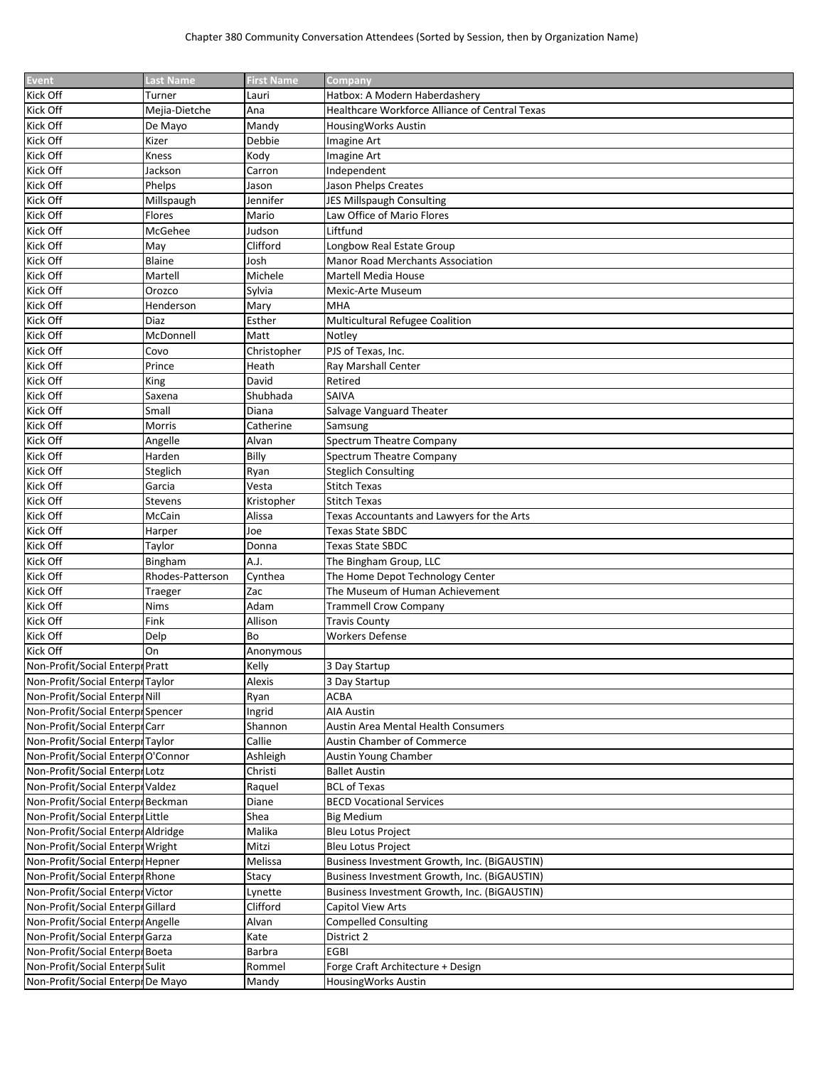| <b>Event</b>                      | <b>Last Name</b> | <b>First Name</b> | <b>Company</b>                                 |
|-----------------------------------|------------------|-------------------|------------------------------------------------|
| Kick Off                          | Turner           | Lauri             | Hatbox: A Modern Haberdashery                  |
| Kick Off                          | Mejia-Dietche    | Ana               | Healthcare Workforce Alliance of Central Texas |
| Kick Off                          | De Mayo          | Mandy             | HousingWorks Austin                            |
| Kick Off                          | Kizer            | Debbie            | Imagine Art                                    |
| Kick Off                          | Kness            | Kody              | Imagine Art                                    |
| Kick Off                          | Jackson          | Carron            | Independent                                    |
| Kick Off                          | Phelps           | Jason             | Jason Phelps Creates                           |
| Kick Off                          | Millspaugh       | Jennifer          | JES Millspaugh Consulting                      |
| Kick Off                          | Flores           | Mario             | Law Office of Mario Flores                     |
| Kick Off                          | McGehee          | Judson            | Liftfund                                       |
| Kick Off                          | May              | Clifford          | Longbow Real Estate Group                      |
| Kick Off                          | Blaine           | Josh              | <b>Manor Road Merchants Association</b>        |
| Kick Off                          | Martell          | Michele           | Martell Media House                            |
| Kick Off                          | Orozco           | Sylvia            | Mexic-Arte Museum                              |
| Kick Off                          | Henderson        | Mary              | <b>MHA</b>                                     |
| Kick Off                          | Diaz             | Esther            | Multicultural Refugee Coalition                |
| Kick Off                          | McDonnell        | Matt              | Notley                                         |
| Kick Off                          | Covo             | Christopher       | PJS of Texas, Inc.                             |
| Kick Off                          | Prince           | Heath             | Ray Marshall Center                            |
| Kick Off                          | King             | David             | Retired                                        |
|                                   |                  |                   | SAIVA                                          |
| Kick Off<br>Kick Off              | Saxena           | Shubhada          |                                                |
|                                   | Small            | Diana             | Salvage Vanguard Theater                       |
| Kick Off                          | Morris           | Catherine         | Samsung                                        |
| Kick Off                          | Angelle          | Alvan             | Spectrum Theatre Company                       |
| Kick Off                          | Harden           | Billy             | Spectrum Theatre Company                       |
| Kick Off                          | Steglich         | Ryan              | <b>Steglich Consulting</b>                     |
| Kick Off                          | Garcia           | Vesta             | <b>Stitch Texas</b>                            |
| Kick Off                          | Stevens          | Kristopher        | Stitch Texas                                   |
| Kick Off                          | McCain           | Alissa            | Texas Accountants and Lawyers for the Arts     |
| Kick Off                          | Harper           | Joe               | Texas State SBDC                               |
| Kick Off                          | Taylor           | Donna             | Texas State SBDC                               |
| Kick Off                          | Bingham          | A.J.              | The Bingham Group, LLC                         |
| Kick Off                          | Rhodes-Patterson | Cynthea           | The Home Depot Technology Center               |
| Kick Off                          | Traeger          | Zac               | The Museum of Human Achievement                |
| Kick Off                          | Nims             | Adam              | <b>Trammell Crow Company</b>                   |
| Kick Off                          | Fink             | Allison           | <b>Travis County</b>                           |
| Kick Off                          | Delp             | Bo                | <b>Workers Defense</b>                         |
| Kick Off                          | On               | Anonymous         |                                                |
| Non-Profit/Social Enterpr Pratt   |                  | Kelly             | 3 Day Startup                                  |
| Non-Profit/Social Enterpr Taylor  |                  | Alexis            | 3 Day Startup                                  |
| Non-Profit/Social Enterpr Nill    |                  | Ryan              | <b>ACBA</b>                                    |
| Non-Profit/Social Enterpr Spencer |                  | Ingrid            | AIA Austin                                     |
| Non-Profit/Social Enterpr Carr    |                  | Shannon           | <b>Austin Area Mental Health Consumers</b>     |
| Non-Profit/Social Enterpr Taylor  |                  | Callie            | <b>Austin Chamber of Commerce</b>              |
| Non-Profit/Social EnterprO'Connor |                  | Ashleigh          | Austin Young Chamber                           |
| Non-Profit/Social Enterpr Lotz    |                  | Christi           | <b>Ballet Austin</b>                           |
| Non-Profit/Social Enterpr Valdez  |                  | Raguel            | <b>BCL of Texas</b>                            |
| Non-Profit/Social Enterpr Beckman |                  | Diane             | <b>BECD Vocational Services</b>                |
| Non-Profit/Social Enterpr Little  |                  | Shea              | <b>Big Medium</b>                              |
| Non-Profit/Social EnterprAldridge |                  | Malika            | Bleu Lotus Project                             |
| Non-Profit/Social Enterpr Wright  |                  | Mitzi             | <b>Bleu Lotus Project</b>                      |
| Non-Profit/Social Enterpr Hepner  |                  | Melissa           | Business Investment Growth, Inc. (BiGAUSTIN)   |
| Non-Profit/Social Enterpr Rhone   |                  | Stacy             | Business Investment Growth, Inc. (BiGAUSTIN)   |
| Non-Profit/Social Enterpr Victor  |                  | Lynette           | Business Investment Growth, Inc. (BiGAUSTIN)   |
| Non-Profit/Social EnterprGillard  |                  | Clifford          | <b>Capitol View Arts</b>                       |
| Non-Profit/Social EnterprAngelle  |                  | Alvan             | <b>Compelled Consulting</b>                    |
| Non-Profit/Social Enterpr Garza   |                  | Kate              | District 2                                     |
| Non-Profit/Social Enterpr Boeta   |                  | Barbra            | <b>EGBI</b>                                    |
| Non-Profit/Social Enterpr Sulit   |                  | Rommel            | Forge Craft Architecture + Design              |
| Non-Profit/Social Enterpr De Mayo |                  | Mandy             | HousingWorks Austin                            |
|                                   |                  |                   |                                                |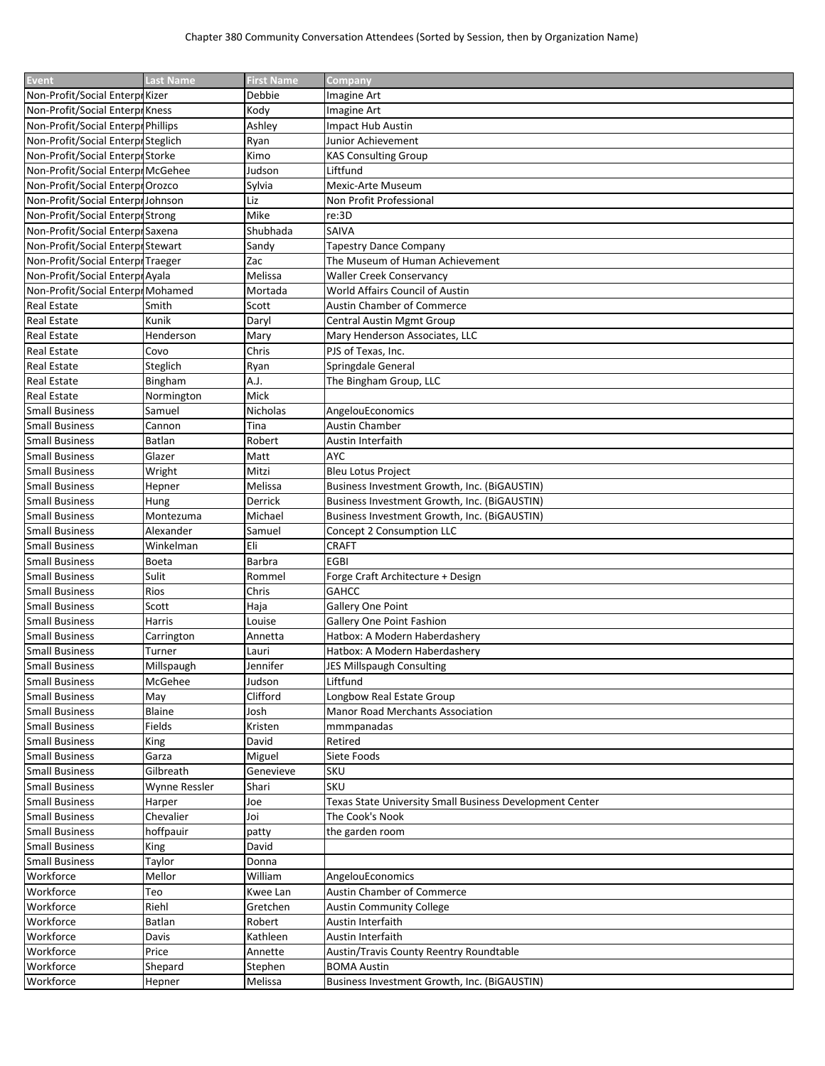| Event                              | <b>Last Name</b> | <b>First Name</b> | Company                                                  |
|------------------------------------|------------------|-------------------|----------------------------------------------------------|
| Non-Profit/Social Enterpr Kizer    |                  | Debbie            | Imagine Art                                              |
| Non-Profit/Social Enterpr Kness    |                  | Kody              | Imagine Art                                              |
| Non-Profit/Social Enterpr Phillips |                  | Ashley            | Impact Hub Austin                                        |
| Non-Profit/Social Enterpr Steglich |                  | Ryan              | Junior Achievement                                       |
| Non-Profit/Social Enterpr Storke   |                  | Kimo              | <b>KAS Consulting Group</b>                              |
| Non-Profit/Social Enterpr McGehee  |                  | Judson            | Liftfund                                                 |
| Non-Profit/Social EnterprOrozco    |                  | Sylvia            | Mexic-Arte Museum                                        |
| Non-Profit/Social Enterpr Johnson  |                  | Liz               | Non Profit Professional                                  |
| Non-Profit/Social Enterpr Strong   |                  | Mike              | re:3D                                                    |
|                                    |                  |                   |                                                          |
| Non-Profit/Social Enterpr Saxena   |                  | Shubhada          | SAIVA                                                    |
| Non-Profit/Social Enterpr Stewart  |                  | Sandy             | <b>Tapestry Dance Company</b>                            |
| Non-Profit/Social Enterpr Traeger  |                  | Zac               | The Museum of Human Achievement                          |
| Non-Profit/Social EnterprAyala     |                  | Melissa           | <b>Waller Creek Conservancy</b>                          |
| Non-Profit/Social Enterpr Mohamed  |                  | Mortada           | World Affairs Council of Austin                          |
| <b>Real Estate</b>                 | Smith            | Scott             | Austin Chamber of Commerce                               |
| Real Estate                        | Kunik            | Daryl             | <b>Central Austin Mgmt Group</b>                         |
| Real Estate                        | Henderson        | Mary              | Mary Henderson Associates, LLC                           |
| <b>Real Estate</b>                 | Covo             | Chris             | PJS of Texas, Inc.                                       |
| <b>Real Estate</b>                 | Steglich         | Ryan              | Springdale General                                       |
| <b>Real Estate</b>                 | Bingham          | A.J.              | The Bingham Group, LLC                                   |
| <b>Real Estate</b>                 | Normington       | Mick              |                                                          |
| <b>Small Business</b>              | Samuel           | Nicholas          | AngelouEconomics                                         |
| <b>Small Business</b>              | Cannon           | Tina              | Austin Chamber                                           |
| <b>Small Business</b>              | Batlan           | Robert            | Austin Interfaith                                        |
| <b>Small Business</b>              | Glazer           | Matt              | AYC                                                      |
| <b>Small Business</b>              | Wright           | Mitzi             | <b>Bleu Lotus Project</b>                                |
| <b>Small Business</b>              | Hepner           | Melissa           | Business Investment Growth, Inc. (BiGAUSTIN)             |
| <b>Small Business</b>              | Hung             | Derrick           | Business Investment Growth, Inc. (BiGAUSTIN)             |
| <b>Small Business</b>              | Montezuma        | Michael           | Business Investment Growth, Inc. (BiGAUSTIN)             |
| <b>Small Business</b>              | Alexander        | Samuel            | Concept 2 Consumption LLC                                |
| <b>Small Business</b>              | Winkelman        | Eli               | <b>CRAFT</b>                                             |
| <b>Small Business</b>              | <b>Boeta</b>     | Barbra            | <b>EGBI</b>                                              |
|                                    | Sulit            |                   |                                                          |
| <b>Small Business</b>              |                  | Rommel            | Forge Craft Architecture + Design                        |
| <b>Small Business</b>              | Rios             | Chris             | <b>GAHCC</b>                                             |
| <b>Small Business</b>              | Scott            | Haja              | Gallery One Point                                        |
| <b>Small Business</b>              | Harris           | Louise            | Gallery One Point Fashion                                |
| <b>Small Business</b>              | Carrington       | Annetta           | Hatbox: A Modern Haberdashery                            |
| <b>Small Business</b>              | Turner           | Lauri             | Hatbox: A Modern Haberdashery                            |
| <b>Small Business</b>              | Millspaugh       | Jennifer          | <b>JES Millspaugh Consulting</b>                         |
| <b>Small Business</b>              | McGehee          | Judson            | Liftfund                                                 |
| <b>Small Business</b>              | May              | Clifford          | Longbow Real Estate Group                                |
| <b>Small Business</b>              | Blaine           | Josh              | Manor Road Merchants Association                         |
| <b>Small Business</b>              | Fields           | Kristen           | mmmpanadas                                               |
| <b>Small Business</b>              | King             | David             | Retired                                                  |
| <b>Small Business</b>              | Garza            | Miguel            | Siete Foods                                              |
| <b>Small Business</b>              | Gilbreath        | Genevieve         | <b>SKU</b>                                               |
| <b>Small Business</b>              | Wynne Ressler    | Shari             | <b>SKU</b>                                               |
| <b>Small Business</b>              | Harper           | Joe               | Texas State University Small Business Development Center |
| <b>Small Business</b>              | Chevalier        | Joi               | The Cook's Nook                                          |
| <b>Small Business</b>              | hoffpauir        | patty             | the garden room                                          |
| <b>Small Business</b>              | King             | David             |                                                          |
| <b>Small Business</b>              | Taylor           | Donna             |                                                          |
| Workforce                          | Mellor           | William           | AngelouEconomics                                         |
| Workforce                          | Teo              |                   | Austin Chamber of Commerce                               |
| Workforce                          |                  | Kwee Lan          |                                                          |
|                                    | Riehl            | Gretchen          | <b>Austin Community College</b>                          |
| Workforce                          | Batlan           | Robert            | Austin Interfaith                                        |
| Workforce                          | Davis            | Kathleen          | Austin Interfaith                                        |
| Workforce                          | Price            | Annette           | Austin/Travis County Reentry Roundtable                  |
| Workforce                          | Shepard          | Stephen           | <b>BOMA Austin</b>                                       |
| Workforce                          | Hepner           | Melissa           | Business Investment Growth, Inc. (BiGAUSTIN)             |